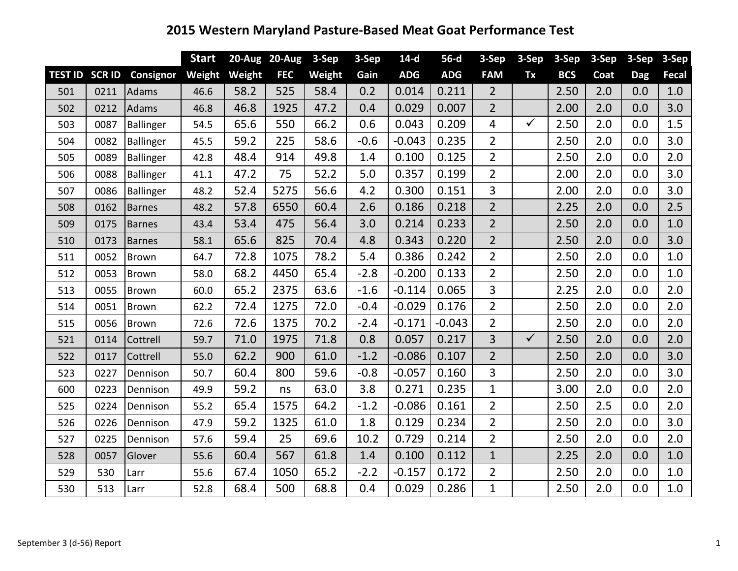|                       |      |                  | <b>Start</b> |        | 20-Aug 20-Aug | 3-Sep  | 3-Sep  | $14-d$     | $56-d$     | 3-Sep          | 3-Sep        | 3-Sep      | 3-Sep | 3-Sep      | 3-Sep |
|-----------------------|------|------------------|--------------|--------|---------------|--------|--------|------------|------------|----------------|--------------|------------|-------|------------|-------|
| <b>TEST ID SCR ID</b> |      | Consignor        | Weight       | Weight | <b>FEC</b>    | Weight | Gain   | <b>ADG</b> | <b>ADG</b> | <b>FAM</b>     | Tx           | <b>BCS</b> | Coat  | <b>Dag</b> | Fecal |
| 501                   | 0211 | Adams            | 46.6         | 58.2   | 525           | 58.4   | 0.2    | 0.014      | 0.211      | $\overline{2}$ |              | 2.50       | 2.0   | 0.0        | 1.0   |
| 502                   | 0212 | Adams            | 46.8         | 46.8   | 1925          | 47.2   | 0.4    | 0.029      | 0.007      | $\overline{2}$ |              | 2.00       | 2.0   | 0.0        | 3.0   |
| 503                   | 0087 | <b>Ballinger</b> | 54.5         | 65.6   | 550           | 66.2   | 0.6    | 0.043      | 0.209      | 4              | $\checkmark$ | 2.50       | 2.0   | 0.0        | 1.5   |
| 504                   | 0082 | Ballinger        | 45.5         | 59.2   | 225           | 58.6   | $-0.6$ | $-0.043$   | 0.235      | $\overline{2}$ |              | 2.50       | 2.0   | 0.0        | 3.0   |
| 505                   | 0089 | Ballinger        | 42.8         | 48.4   | 914           | 49.8   | 1.4    | 0.100      | 0.125      | $\overline{2}$ |              | 2.50       | 2.0   | 0.0        | 2.0   |
| 506                   | 0088 | <b>Ballinger</b> | 41.1         | 47.2   | 75            | 52.2   | 5.0    | 0.357      | 0.199      | $\overline{2}$ |              | 2.00       | 2.0   | 0.0        | 3.0   |
| 507                   | 0086 | Ballinger        | 48.2         | 52.4   | 5275          | 56.6   | 4.2    | 0.300      | 0.151      | 3              |              | 2.00       | 2.0   | 0.0        | 3.0   |
| 508                   | 0162 | <b>Barnes</b>    | 48.2         | 57.8   | 6550          | 60.4   | 2.6    | 0.186      | 0.218      | $\overline{2}$ |              | 2.25       | 2.0   | 0.0        | 2.5   |
| 509                   | 0175 | <b>Barnes</b>    | 43.4         | 53.4   | 475           | 56.4   | 3.0    | 0.214      | 0.233      | $\overline{2}$ |              | 2.50       | 2.0   | 0.0        | 1.0   |
| 510                   | 0173 | <b>Barnes</b>    | 58.1         | 65.6   | 825           | 70.4   | 4.8    | 0.343      | 0.220      | $\overline{2}$ |              | 2.50       | 2.0   | 0.0        | 3.0   |
| 511                   | 0052 | <b>Brown</b>     | 64.7         | 72.8   | 1075          | 78.2   | 5.4    | 0.386      | 0.242      | $\overline{2}$ |              | 2.50       | 2.0   | 0.0        | 1.0   |
| 512                   | 0053 | Brown            | 58.0         | 68.2   | 4450          | 65.4   | $-2.8$ | $-0.200$   | 0.133      | $\overline{2}$ |              | 2.50       | 2.0   | 0.0        | 1.0   |
| 513                   | 0055 | Brown            | 60.0         | 65.2   | 2375          | 63.6   | $-1.6$ | $-0.114$   | 0.065      | 3              |              | 2.25       | 2.0   | 0.0        | 2.0   |
| 514                   | 0051 | Brown            | 62.2         | 72.4   | 1275          | 72.0   | $-0.4$ | $-0.029$   | 0.176      | $\overline{2}$ |              | 2.50       | 2.0   | 0.0        | 2.0   |
| 515                   | 0056 | <b>Brown</b>     | 72.6         | 72.6   | 1375          | 70.2   | $-2.4$ | $-0.171$   | $-0.043$   | $\overline{2}$ |              | 2.50       | 2.0   | 0.0        | 2.0   |
| 521                   | 0114 | Cottrell         | 59.7         | 71.0   | 1975          | 71.8   | 0.8    | 0.057      | 0.217      | $\overline{3}$ | $\checkmark$ | 2.50       | 2.0   | 0.0        | 2.0   |
| 522                   | 0117 | Cottrell         | 55.0         | 62.2   | 900           | 61.0   | $-1.2$ | $-0.086$   | 0.107      | $\overline{2}$ |              | 2.50       | 2.0   | 0.0        | 3.0   |
| 523                   | 0227 | Dennison         | 50.7         | 60.4   | 800           | 59.6   | $-0.8$ | $-0.057$   | 0.160      | 3              |              | 2.50       | 2.0   | 0.0        | 3.0   |
| 600                   | 0223 | Dennison         | 49.9         | 59.2   | ns            | 63.0   | 3.8    | 0.271      | 0.235      | $\mathbf{1}$   |              | 3.00       | 2.0   | 0.0        | 2.0   |
| 525                   | 0224 | Dennison         | 55.2         | 65.4   | 1575          | 64.2   | $-1.2$ | $-0.086$   | 0.161      | $\overline{2}$ |              | 2.50       | 2.5   | 0.0        | 2.0   |
| 526                   | 0226 | Dennison         | 47.9         | 59.2   | 1325          | 61.0   | 1.8    | 0.129      | 0.234      | $\overline{2}$ |              | 2.50       | 2.0   | 0.0        | 3.0   |
| 527                   | 0225 | Dennison         | 57.6         | 59.4   | 25            | 69.6   | 10.2   | 0.729      | 0.214      | $\overline{2}$ |              | 2.50       | 2.0   | 0.0        | 2.0   |
| 528                   | 0057 | Glover           | 55.6         | 60.4   | 567           | 61.8   | 1.4    | 0.100      | 0.112      | $\mathbf{1}$   |              | 2.25       | 2.0   | 0.0        | 1.0   |
| 529                   | 530  | Larr             | 55.6         | 67.4   | 1050          | 65.2   | $-2.2$ | $-0.157$   | 0.172      | $\overline{2}$ |              | 2.50       | 2.0   | 0.0        | 1.0   |
| 530                   | 513  | Larr             | 52.8         | 68.4   | 500           | 68.8   | 0.4    | 0.029      | 0.286      | $\mathbf{1}$   |              | 2.50       | 2.0   | 0.0        | 1.0   |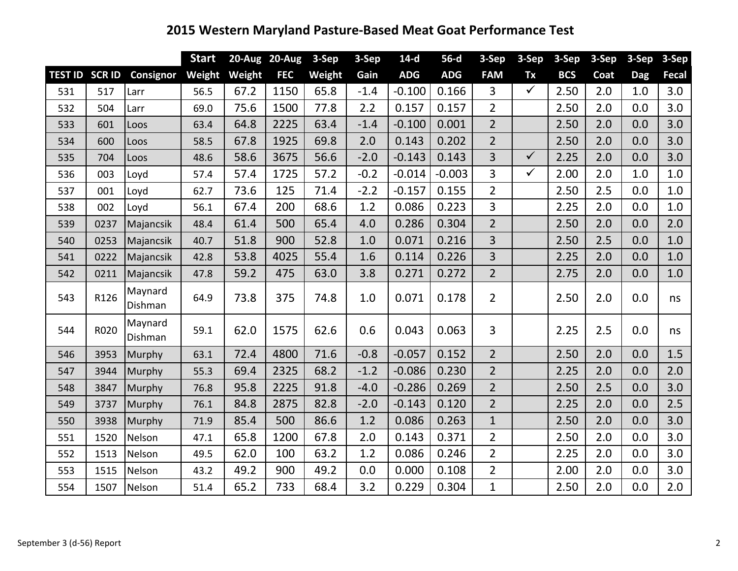|     |                       |                    | <b>Start</b> |        | 20-Aug 20-Aug | $3-Sep$ | 3-Sep  | $14-d$     | $56-d$     | 3-Sep          | 3-Sep        | $3-Sep$    | 3-Sep | 3-Sep      | 3-Sep        |
|-----|-----------------------|--------------------|--------------|--------|---------------|---------|--------|------------|------------|----------------|--------------|------------|-------|------------|--------------|
|     | <b>TEST ID SCR ID</b> | Consignor          | Weight       | Weight | <b>FEC</b>    | Weight  | Gain   | <b>ADG</b> | <b>ADG</b> | <b>FAM</b>     | Tx           | <b>BCS</b> | Coat  | <b>Dag</b> | <b>Fecal</b> |
| 531 | 517                   | Larr               | 56.5         | 67.2   | 1150          | 65.8    | $-1.4$ | $-0.100$   | 0.166      | 3              | $\checkmark$ | 2.50       | 2.0   | 1.0        | 3.0          |
| 532 | 504                   | Larr               | 69.0         | 75.6   | 1500          | 77.8    | 2.2    | 0.157      | 0.157      | $\overline{2}$ |              | 2.50       | 2.0   | 0.0        | 3.0          |
| 533 | 601                   | Loos               | 63.4         | 64.8   | 2225          | 63.4    | $-1.4$ | $-0.100$   | 0.001      | $\overline{2}$ |              | 2.50       | 2.0   | 0.0        | 3.0          |
| 534 | 600                   | Loos               | 58.5         | 67.8   | 1925          | 69.8    | 2.0    | 0.143      | 0.202      | $\overline{2}$ |              | 2.50       | 2.0   | 0.0        | 3.0          |
| 535 | 704                   | Loos               | 48.6         | 58.6   | 3675          | 56.6    | $-2.0$ | $-0.143$   | 0.143      | $\overline{3}$ | $\checkmark$ | 2.25       | 2.0   | 0.0        | 3.0          |
| 536 | 003                   | Loyd               | 57.4         | 57.4   | 1725          | 57.2    | $-0.2$ | $-0.014$   | $-0.003$   | 3              | $\checkmark$ | 2.00       | 2.0   | 1.0        | 1.0          |
| 537 | 001                   | Loyd               | 62.7         | 73.6   | 125           | 71.4    | $-2.2$ | $-0.157$   | 0.155      | $\overline{2}$ |              | 2.50       | 2.5   | 0.0        | 1.0          |
| 538 | 002                   | Loyd               | 56.1         | 67.4   | 200           | 68.6    | 1.2    | 0.086      | 0.223      | 3              |              | 2.25       | 2.0   | 0.0        | 1.0          |
| 539 | 0237                  | Majancsik          | 48.4         | 61.4   | 500           | 65.4    | 4.0    | 0.286      | 0.304      | $\overline{2}$ |              | 2.50       | 2.0   | 0.0        | 2.0          |
| 540 | 0253                  | Majancsik          | 40.7         | 51.8   | 900           | 52.8    | 1.0    | 0.071      | 0.216      | $\overline{3}$ |              | 2.50       | 2.5   | 0.0        | 1.0          |
| 541 | 0222                  | Majancsik          | 42.8         | 53.8   | 4025          | 55.4    | 1.6    | 0.114      | 0.226      | 3              |              | 2.25       | 2.0   | 0.0        | 1.0          |
| 542 | 0211                  | Majancsik          | 47.8         | 59.2   | 475           | 63.0    | 3.8    | 0.271      | 0.272      | $2^{\circ}$    |              | 2.75       | 2.0   | 0.0        | 1.0          |
| 543 | R126                  | Maynard<br>Dishman | 64.9         | 73.8   | 375           | 74.8    | 1.0    | 0.071      | 0.178      | $\overline{2}$ |              | 2.50       | 2.0   | 0.0        | ns           |
| 544 | R020                  | Maynard<br>Dishman | 59.1         | 62.0   | 1575          | 62.6    | 0.6    | 0.043      | 0.063      | 3              |              | 2.25       | 2.5   | 0.0        | ns           |
| 546 | 3953                  | Murphy             | 63.1         | 72.4   | 4800          | 71.6    | $-0.8$ | $-0.057$   | 0.152      | $\overline{2}$ |              | 2.50       | 2.0   | 0.0        | 1.5          |
| 547 | 3944                  | Murphy             | 55.3         | 69.4   | 2325          | 68.2    | $-1.2$ | $-0.086$   | 0.230      | $\overline{2}$ |              | 2.25       | 2.0   | 0.0        | 2.0          |
| 548 | 3847                  | Murphy             | 76.8         | 95.8   | 2225          | 91.8    | $-4.0$ | $-0.286$   | 0.269      | $\overline{2}$ |              | 2.50       | 2.5   | 0.0        | 3.0          |
| 549 | 3737                  | Murphy             | 76.1         | 84.8   | 2875          | 82.8    | $-2.0$ | $-0.143$   | 0.120      | 2 <sup>1</sup> |              | 2.25       | 2.0   | 0.0        | 2.5          |
| 550 | 3938                  | Murphy             | 71.9         | 85.4   | 500           | 86.6    | 1.2    | 0.086      | 0.263      | $\mathbf{1}$   |              | 2.50       | 2.0   | 0.0        | 3.0          |
| 551 | 1520                  | Nelson             | 47.1         | 65.8   | 1200          | 67.8    | 2.0    | 0.143      | 0.371      | $\overline{2}$ |              | 2.50       | 2.0   | 0.0        | 3.0          |
| 552 | 1513                  | Nelson             | 49.5         | 62.0   | 100           | 63.2    | 1.2    | 0.086      | 0.246      | $\overline{2}$ |              | 2.25       | 2.0   | 0.0        | 3.0          |
| 553 | 1515                  | Nelson             | 43.2         | 49.2   | 900           | 49.2    | 0.0    | 0.000      | 0.108      | $\overline{2}$ |              | 2.00       | 2.0   | 0.0        | 3.0          |
| 554 | 1507                  | Nelson             | 51.4         | 65.2   | 733           | 68.4    | 3.2    | 0.229      | 0.304      | $\mathbf{1}$   |              | 2.50       | 2.0   | 0.0        | 2.0          |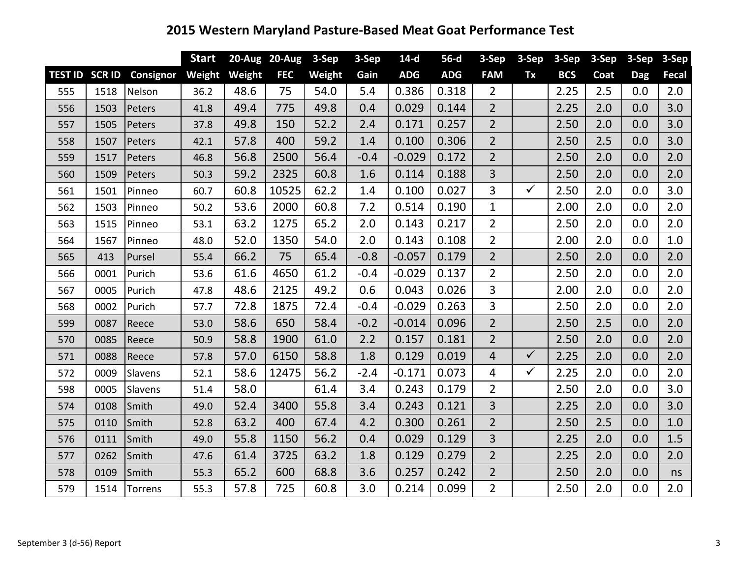|                |               |           | <b>Start</b> |        | 20-Aug 20-Aug | 3-Sep  | 3-Sep  | $14-d$     | $56-d$     | 3-Sep          | 3-Sep        | 3-Sep      | 3-Sep | 3-Sep      | 3-Sep |
|----------------|---------------|-----------|--------------|--------|---------------|--------|--------|------------|------------|----------------|--------------|------------|-------|------------|-------|
| <b>TEST ID</b> | <b>SCR ID</b> | Consignor | Weight       | Weight | <b>FEC</b>    | Weight | Gain   | <b>ADG</b> | <b>ADG</b> | <b>FAM</b>     | Tx           | <b>BCS</b> | Coat  | <b>Dag</b> | Fecal |
| 555            | 1518          | Nelson    | 36.2         | 48.6   | 75            | 54.0   | 5.4    | 0.386      | 0.318      | $\overline{2}$ |              | 2.25       | 2.5   | 0.0        | 2.0   |
| 556            | 1503          | Peters    | 41.8         | 49.4   | 775           | 49.8   | 0.4    | 0.029      | 0.144      | $\overline{2}$ |              | 2.25       | 2.0   | 0.0        | 3.0   |
| 557            | 1505          | Peters    | 37.8         | 49.8   | 150           | 52.2   | 2.4    | 0.171      | 0.257      | $\overline{2}$ |              | 2.50       | 2.0   | 0.0        | 3.0   |
| 558            | 1507          | Peters    | 42.1         | 57.8   | 400           | 59.2   | 1.4    | 0.100      | 0.306      | $\overline{2}$ |              | 2.50       | 2.5   | 0.0        | 3.0   |
| 559            | 1517          | Peters    | 46.8         | 56.8   | 2500          | 56.4   | $-0.4$ | $-0.029$   | 0.172      | $\overline{2}$ |              | 2.50       | 2.0   | 0.0        | 2.0   |
| 560            | 1509          | Peters    | 50.3         | 59.2   | 2325          | 60.8   | 1.6    | 0.114      | 0.188      | 3              |              | 2.50       | 2.0   | 0.0        | 2.0   |
| 561            | 1501          | Pinneo    | 60.7         | 60.8   | 10525         | 62.2   | 1.4    | 0.100      | 0.027      | 3              | $\checkmark$ | 2.50       | 2.0   | 0.0        | 3.0   |
| 562            | 1503          | Pinneo    | 50.2         | 53.6   | 2000          | 60.8   | 7.2    | 0.514      | 0.190      | $\mathbf 1$    |              | 2.00       | 2.0   | 0.0        | 2.0   |
| 563            | 1515          | Pinneo    | 53.1         | 63.2   | 1275          | 65.2   | 2.0    | 0.143      | 0.217      | $\overline{2}$ |              | 2.50       | 2.0   | 0.0        | 2.0   |
| 564            | 1567          | Pinneo    | 48.0         | 52.0   | 1350          | 54.0   | 2.0    | 0.143      | 0.108      | $\overline{2}$ |              | 2.00       | 2.0   | 0.0        | 1.0   |
| 565            | 413           | Pursel    | 55.4         | 66.2   | 75            | 65.4   | $-0.8$ | $-0.057$   | 0.179      | $\overline{2}$ |              | 2.50       | 2.0   | 0.0        | 2.0   |
| 566            | 0001          | Purich    | 53.6         | 61.6   | 4650          | 61.2   | $-0.4$ | $-0.029$   | 0.137      | $\overline{2}$ |              | 2.50       | 2.0   | 0.0        | 2.0   |
| 567            | 0005          | Purich    | 47.8         | 48.6   | 2125          | 49.2   | 0.6    | 0.043      | 0.026      | 3              |              | 2.00       | 2.0   | 0.0        | 2.0   |
| 568            | 0002          | Purich    | 57.7         | 72.8   | 1875          | 72.4   | $-0.4$ | $-0.029$   | 0.263      | 3              |              | 2.50       | 2.0   | 0.0        | 2.0   |
| 599            | 0087          | Reece     | 53.0         | 58.6   | 650           | 58.4   | $-0.2$ | $-0.014$   | 0.096      | $\overline{2}$ |              | 2.50       | 2.5   | 0.0        | 2.0   |
| 570            | 0085          | Reece     | 50.9         | 58.8   | 1900          | 61.0   | 2.2    | 0.157      | 0.181      | $\overline{2}$ |              | 2.50       | 2.0   | 0.0        | 2.0   |
| 571            | 0088          | Reece     | 57.8         | 57.0   | 6150          | 58.8   | 1.8    | 0.129      | 0.019      | $\overline{4}$ | $\checkmark$ | 2.25       | 2.0   | 0.0        | 2.0   |
| 572            | 0009          | Slavens   | 52.1         | 58.6   | 12475         | 56.2   | $-2.4$ | $-0.171$   | 0.073      | 4              | $\checkmark$ | 2.25       | 2.0   | 0.0        | 2.0   |
| 598            | 0005          | Slavens   | 51.4         | 58.0   |               | 61.4   | 3.4    | 0.243      | 0.179      | $\overline{2}$ |              | 2.50       | 2.0   | 0.0        | 3.0   |
| 574            | 0108          | Smith     | 49.0         | 52.4   | 3400          | 55.8   | 3.4    | 0.243      | 0.121      | 3              |              | 2.25       | 2.0   | 0.0        | 3.0   |
| 575            | 0110          | Smith     | 52.8         | 63.2   | 400           | 67.4   | 4.2    | 0.300      | 0.261      | $\overline{2}$ |              | 2.50       | 2.5   | 0.0        | 1.0   |
| 576            | 0111          | Smith     | 49.0         | 55.8   | 1150          | 56.2   | 0.4    | 0.029      | 0.129      | 3              |              | 2.25       | 2.0   | 0.0        | 1.5   |
| 577            | 0262          | Smith     | 47.6         | 61.4   | 3725          | 63.2   | 1.8    | 0.129      | 0.279      | $\overline{2}$ |              | 2.25       | 2.0   | 0.0        | 2.0   |
| 578            | 0109          | Smith     | 55.3         | 65.2   | 600           | 68.8   | 3.6    | 0.257      | 0.242      | $\overline{2}$ |              | 2.50       | 2.0   | 0.0        | ns    |
| 579            | 1514          | Torrens   | 55.3         | 57.8   | 725           | 60.8   | 3.0    | 0.214      | 0.099      | $\overline{2}$ |              | 2.50       | 2.0   | 0.0        | 2.0   |